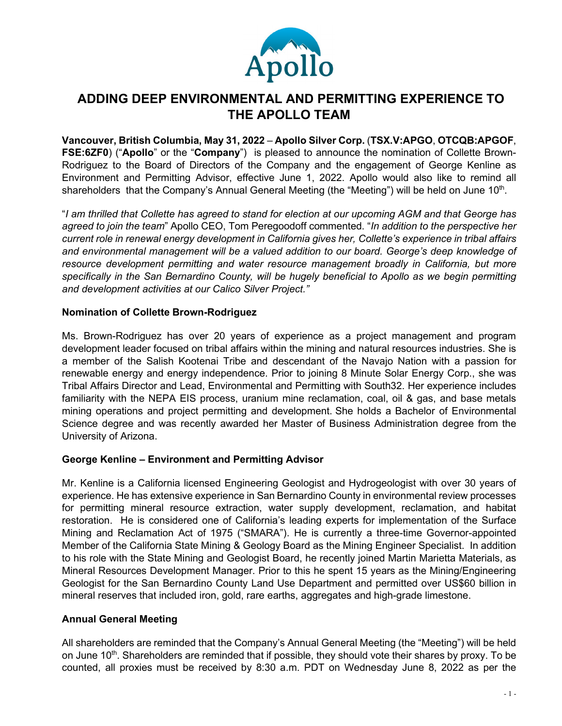

# **ADDING DEEP ENVIRONMENTAL AND PERMITTING EXPERIENCE TO THE APOLLO TEAM**

**Vancouver, British Columbia, May 31, 2022** – **Apollo Silver Corp.** (**TSX.V:APGO**, **OTCQB:APGOF**, **FSE:6ZF0**) ("**Apollo**" or the "**Company**") is pleased to announce the nomination of Collette Brown-Rodriguez to the Board of Directors of the Company and the engagement of George Kenline as Environment and Permitting Advisor, effective June 1, 2022. Apollo would also like to remind all shareholders that the Company's Annual General Meeting (the "Meeting") will be held on June  $10<sup>th</sup>$ .

"*I am thrilled that Collette has agreed to stand for election at our upcoming AGM and that George has agreed to join the team*" Apollo CEO, Tom Peregoodoff commented. "*In addition to the perspective her current role in renewal energy development in California gives her, Collette's experience in tribal affairs and environmental management will be a valued addition to our board. George's deep knowledge of resource development permitting and water resource management broadly in California, but more specifically in the San Bernardino County, will be hugely beneficial to Apollo as we begin permitting and development activities at our Calico Silver Project."*

# **Nomination of Collette Brown-Rodriguez**

Ms. Brown-Rodriguez has over 20 years of experience as a project management and program development leader focused on tribal affairs within the mining and natural resources industries. She is a member of the Salish Kootenai Tribe and descendant of the Navajo Nation with a passion for renewable energy and energy independence. Prior to joining 8 Minute Solar Energy Corp., she was Tribal Affairs Director and Lead, Environmental and Permitting with South32. Her experience includes familiarity with the NEPA EIS process, uranium mine reclamation, coal, oil & gas, and base metals mining operations and project permitting and development. She holds a Bachelor of Environmental Science degree and was recently awarded her Master of Business Administration degree from the University of Arizona.

# **George Kenline – Environment and Permitting Advisor**

Mr. Kenline is a California licensed Engineering Geologist and Hydrogeologist with over 30 years of experience. He has extensive experience in San Bernardino County in environmental review processes for permitting mineral resource extraction, water supply development, reclamation, and habitat restoration. He is considered one of California's leading experts for implementation of the Surface Mining and Reclamation Act of 1975 ("SMARA"). He is currently a three-time Governor-appointed Member of the California State Mining & Geology Board as the Mining Engineer Specialist. In addition to his role with the State Mining and Geologist Board, he recently joined Martin Marietta Materials, as Mineral Resources Development Manager. Prior to this he spent 15 years as the Mining/Engineering Geologist for the San Bernardino County Land Use Department and permitted over US\$60 billion in mineral reserves that included iron, gold, rare earths, aggregates and high-grade limestone.

# **Annual General Meeting**

All shareholders are reminded that the Company's Annual General Meeting (the "Meeting") will be held on June 10<sup>th</sup>. Shareholders are reminded that if possible, they should vote their shares by proxy. To be counted, all proxies must be received by 8:30 a.m. PDT on Wednesday June 8, 2022 as per the